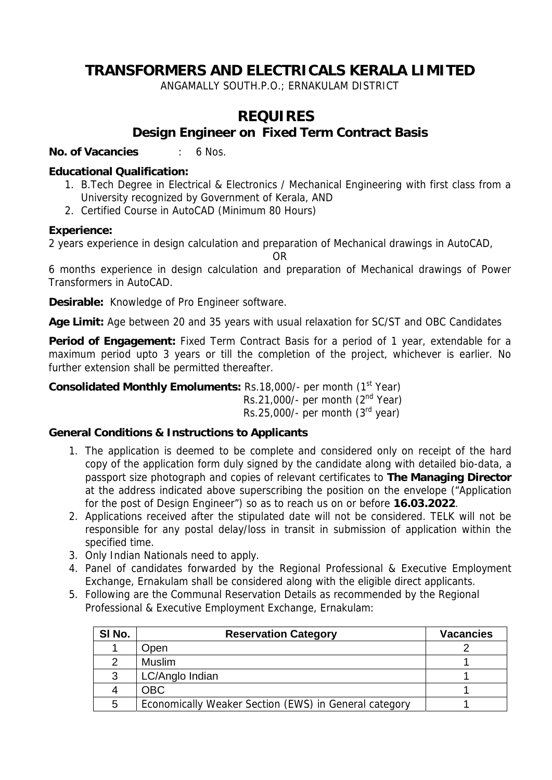# **TRANSFORMERS AND ELECTRICALS KERALA LIMITED**

ANGAMALLY SOUTH.P.O.; ERNAKULAM DISTRICT

## **REQUIRES Design Engineer on Fixed Term Contract Basis**

**No. of Vacancies** : 6 Nos.

#### **Educational Qualification:**

- 1. B.Tech Degree in Electrical & Electronics / Mechanical Engineering with first class from a University recognized by Government of Kerala, AND
- 2. Certified Course in AutoCAD (Minimum 80 Hours)

#### **Experience:**

2 years experience in design calculation and preparation of Mechanical drawings in AutoCAD,

OR

6 months experience in design calculation and preparation of Mechanical drawings of Power Transformers in AutoCAD.

**Desirable:** Knowledge of Pro Engineer software.

**Age Limit:** Age between 20 and 35 years with usual relaxation for SC/ST and OBC Candidates

**Period of Engagement:** Fixed Term Contract Basis for a period of 1 year, extendable for a maximum period upto 3 years or till the completion of the project, whichever is earlier. No further extension shall be permitted thereafter.

**Consolidated Monthly Emoluments: Rs.18,000/- per month (1st Year)** Rs.21,000/- per month  $(2<sup>nd</sup> Year)$ Rs.25,000/- per month  $(3<sup>rd</sup>$  year)

### **General Conditions & Instructions to Applicants**

- 1. The application is deemed to be complete and considered only on receipt of the hard copy of the application form duly signed by the candidate along with detailed bio-data, a passport size photograph and copies of relevant certificates to **The Managing Director** at the address indicated above superscribing the position on the envelope ("Application for the post of Design Engineer") so as to reach us on or before **16.03.2022**.
- 2. Applications received after the stipulated date will not be considered. TELK will not be responsible for any postal delay/loss in transit in submission of application within the specified time.
- 3. Only Indian Nationals need to apply.
- 4. Panel of candidates forwarded by the Regional Professional & Executive Employment Exchange, Ernakulam shall be considered along with the eligible direct applicants.
- 5. Following are the Communal Reservation Details as recommended by the Regional Professional & Executive Employment Exchange, Ernakulam:

| SI No. | <b>Reservation Category</b>                           | <b>Vacancies</b> |
|--------|-------------------------------------------------------|------------------|
|        | Open                                                  |                  |
|        | <b>Muslim</b>                                         |                  |
| 3      | LC/Anglo Indian                                       |                  |
| 4      | <b>OBC</b>                                            |                  |
| 5      | Economically Weaker Section (EWS) in General category |                  |